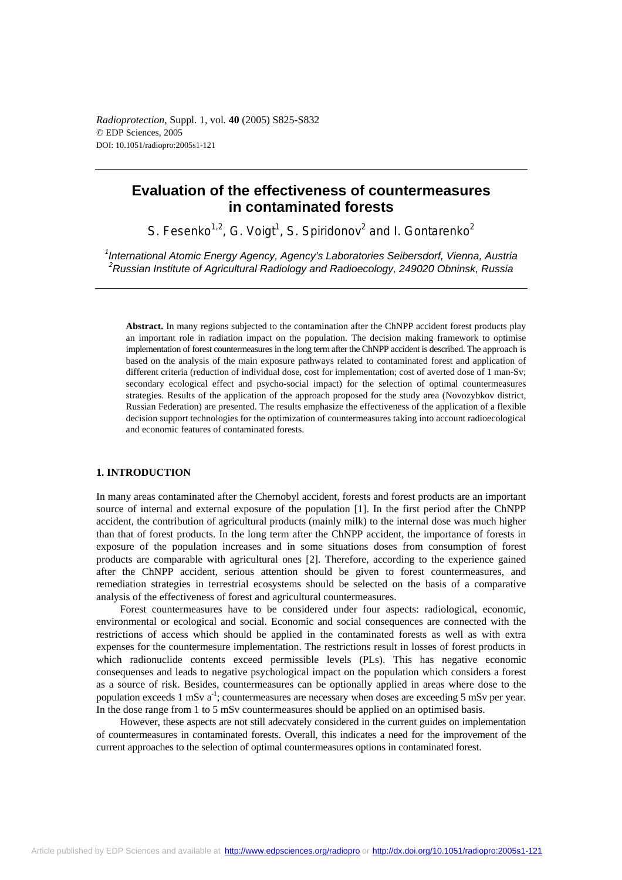*Radioprotection*, Suppl. 1, vol*.* **40** (2005) S825-S832 © EDP Sciences, 2005 DOI: 10.1051/radiopro:2005s1-121

# **Evaluation of the effectiveness of countermeasures in contaminated forests**

S. Fesenko<sup>1,2</sup>, G. Voigt<sup>1</sup>, S. Spiridonov<sup>2</sup> and I. Gontarenko<sup>2</sup>

*1 International Atomic Energy Agency, Agency's Laboratories Seibersdorf, Vienna, Austria 2 Russian Institute of Agricultural Radiology and Radioecology, 249020 Obninsk, Russia* 

**Abstract.** In many regions subjected to the contamination after the ChNPP accident forest products play an important role in radiation impact on the population. The decision making framework to optimise implementation of forest countermeasures in the long term after the ChNPP accident is described. The approach is based on the analysis of the main exposure pathways related to contaminated forest and application of different criteria (reduction of individual dose, cost for implementation; cost of averted dose of 1 man-Sv; secondary ecological effect and psycho-social impact) for the selection of optimal countermeasures strategies. Results of the application of the approach proposed for the study area (Novozybkov district, Russian Federation) are presented. The results emphasize the effectiveness of the application of a flexible decision support technologies for the optimization of countermeasures taking into account radioecological and economic features of contaminated forests.

# **1. INTRODUCTION**

In many areas contaminated after the Chernobyl accident, forests and forest products are an important source of internal and external exposure of the population [1]. In the first period after the ChNPP accident, the contribution of agricultural products (mainly milk) to the internal dose was much higher than that of forest products. In the long term after the ChNPP accident, the importance of forests in exposure of the population increases and in some situations doses from consumption of forest products are comparable with agricultural ones [2]. Therefore, according to the experience gained after the ChNPP accident, serious attention should be given to forest countermeasures, and remediation strategies in terrestrial ecosystems should be selected on the basis of a comparative analysis of the effectiveness of forest and agricultural countermeasures.

Forest countermeasures have to be considered under four aspects: radiological, economic, environmental or ecological and social. Economic and social consequences are connected with the restrictions of access which should be applied in the contaminated forests as well as with extra expenses for the countermesure implementation. The restrictions result in losses of forest products in which radionuclide contents exceed permissible levels (PLs). This has negative economic consequenses and leads to negative psychological impact on the population which considers a forest as a source of risk. Besides, countermeasures can be optionally applied in areas where dose to the population exceeds 1 mSv a<sup>-1</sup>; countermeasures are necessary when doses are exceeding 5 mSv per year. In the dose range from 1 to 5 mSv countermeasures should be applied on an optimised basis.

However, these aspects are not still adecvately considered in the current guides on implementation of countermeasures in contaminated forests. Overall, this indicates a need for the improvement of the current approaches to the selection of optimal countermeasures options in contaminated forest.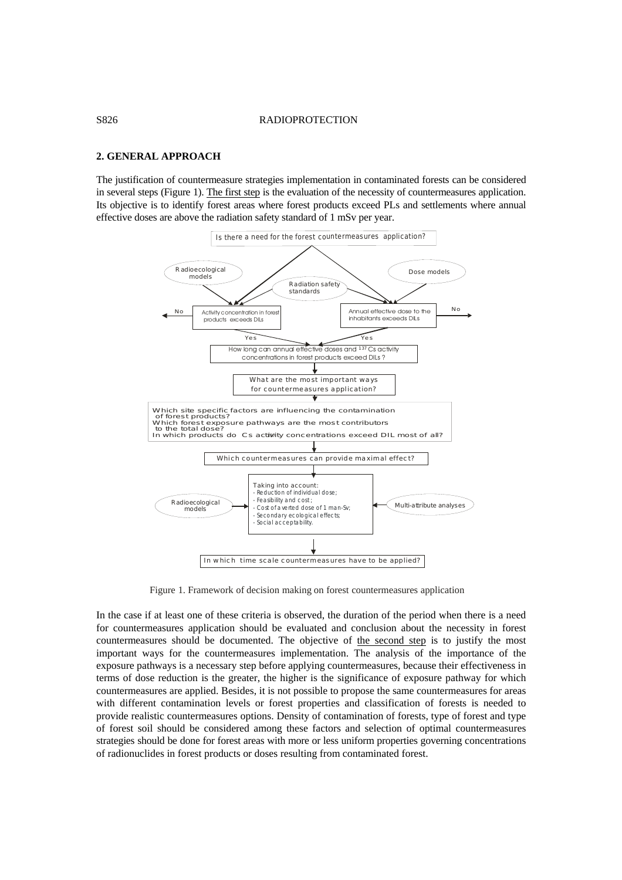### S826 RADIOPROTECTION

## **2. GENERAL APPROACH**

The justification of countermeasure strategies implementation in contaminated forests can be considered in several steps (Figure 1). The first step is the evaluation of the necessity of countermeasures application. Its objective is to identify forest areas where forest products exceed PLs and settlements where annual effective doses are above the radiation safety standard of 1 mSv per year.



Figure 1. Framework of decision making on forest countermeasures application

In the case if at least one of these criteria is observed, the duration of the period when there is a need for countermeasures application should be evaluated and conclusion about the necessity in forest countermeasures should be documented. The objective of the second step is to justify the most important ways for the countermeasures implementation. The analysis of the importance of the exposure pathways is a necessary step before applying countermeasures, because their effectiveness in terms of dose reduction is the greater, the higher is the significance of exposure pathway for which countermeasures are applied. Besides, it is not possible to propose the same countermeasures for areas with different contamination levels or forest properties and classification of forests is needed to provide realistic countermeasures options. Density of contamination of forests, type of forest and type of forest soil should be considered among these factors and selection of optimal countermeasures strategies should be done for forest areas with more or less uniform properties governing concentrations of radionuclides in forest products or doses resulting from contaminated forest.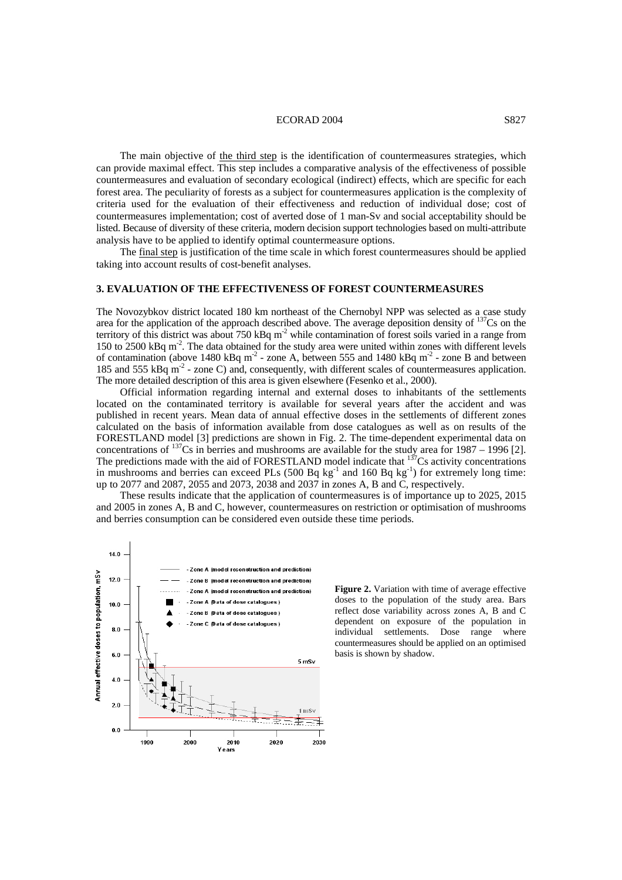### ECORAD 2004 S827

The main objective of the third step is the identification of countermeasures strategies, which can provide maximal effect. This step includes a comparative analysis of the effectiveness of possible countermeasures and evaluation of secondary ecological (indirect) effects, which are specific for each forest area. The peculiarity of forests as a subject for countermeasures application is the complexity of criteria used for the evaluation of their effectiveness and reduction of individual dose; cost of countermeasures implementation; cost of averted dose of 1 man-Sv and social acceptability should be listed. Because of diversity of these criteria, modern decision support technologies based on multi-attribute analysis have to be applied to identify optimal countermeasure options.

The final step is justification of the time scale in which forest countermeasures should be applied taking into account results of cost-benefit analyses.

# **3. EVALUATION OF THE EFFECTIVENESS OF FOREST COUNTERMEASURES**

The Novozybkov district located 180 km northeast of the Chernobyl NPP was selected as a case study area for the application of the approach described above. The average deposition density of  $137$ Cs on the territory of this district was about 750 kBq  $m<sup>2</sup>$  while contamination of forest soils varied in a range from 150 to 2500 kBq m-2. The data obtained for the study area were united within zones with different levels of contamination (above 1480 kBq m<sup>-2</sup> - zone A, between 555 and 1480 kBq m<sup>-2</sup> - zone B and between 185 and 555 kBq m<sup>-2</sup> - zone C) and, consequently, with different scales of countermeasures application. The more detailed description of this area is given elsewhere (Fesenko et al., 2000).

Official information regarding internal and external doses to inhabitants of the settlements located on the contaminated territory is available for several years after the accident and was published in recent years. Mean data of annual effective doses in the settlements of different zones calculated on the basis of information available from dose catalogues as well as on results of the FORESTLAND model [3] predictions are shown in Fig. 2. The time-dependent experimental data on concentrations of  $^{137}$ Cs in berries and mushrooms are available for the study area for 1987 – 1996 [2]. The predictions made with the aid of FORESTLAND model indicate that  $137$ Cs activity concentrations in mushrooms and berries can exceed PLs  $(500 Bq kg<sup>-1</sup>$  and  $160 Bq kg<sup>-1</sup>)$  for extremely long time: up to 2077 and 2087, 2055 and 2073, 2038 and 2037 in zones A, B and C, respectively.

These results indicate that the application of countermeasures is of importance up to 2025, 2015 and 2005 in zones A, B and C, however, countermeasures on restriction or optimisation of mushrooms and berries consumption can be considered even outside these time periods.



**Figure 2.** Variation with time of average effective doses to the population of the study area. Bars reflect dose variability across zones A, B and C dependent on exposure of the population in individual settlements. Dose range where countermeasures should be applied on an optimised basis is shown by shadow.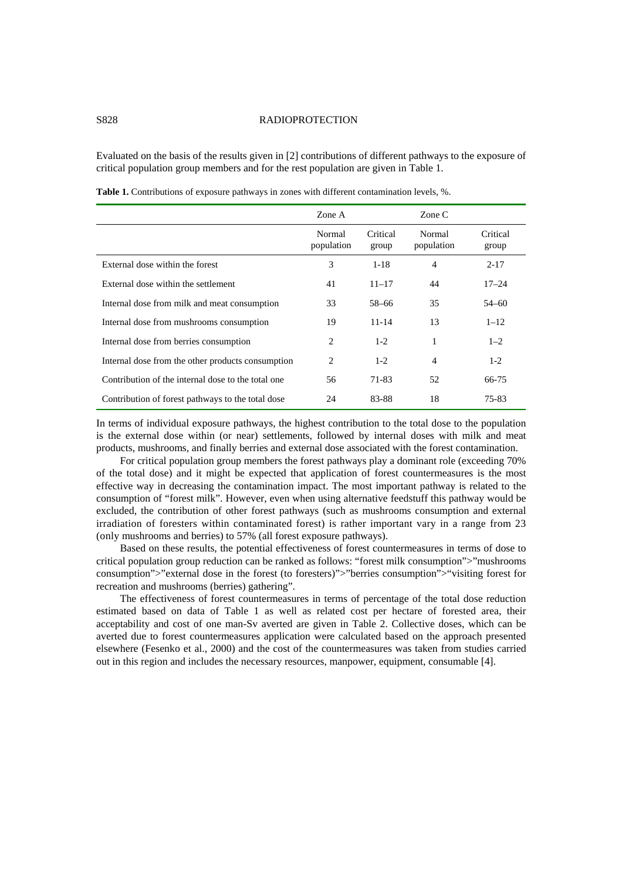## S828 RADIOPROTECTION

Evaluated on the basis of the results given in [2] contributions of different pathways to the exposure of critical population group members and for the rest population are given in Table 1.

|                                                    | Zone A               |                   | Zone C               |                   |
|----------------------------------------------------|----------------------|-------------------|----------------------|-------------------|
|                                                    | Normal<br>population | Critical<br>group | Normal<br>population | Critical<br>group |
| External dose within the forest                    | 3                    | $1 - 18$          | $\overline{4}$       | $2 - 17$          |
| External dose within the settlement                | 41                   | $11 - 17$         | 44                   | $17 - 24$         |
| Internal dose from milk and meat consumption       | 33                   | 58–66             | 35                   | $54 - 60$         |
| Internal dose from mushrooms consumption           | 19                   | $11 - 14$         | 13                   | $1 - 12$          |
| Internal dose from berries consumption             | 2                    | $1-2$             |                      | $1 - 2$           |
| Internal dose from the other products consumption  | 2                    | $1-2$             | 4                    | $1 - 2$           |
| Contribution of the internal dose to the total one | 56                   | 71-83             | 52                   | 66-75             |
| Contribution of forest pathways to the total dose  | 24                   | 83-88             | 18                   | 75-83             |

**Table 1.** Contributions of exposure pathways in zones with different contamination levels, %.

In terms of individual exposure pathways, the highest contribution to the total dose to the population is the external dose within (or near) settlements, followed by internal doses with milk and meat products, mushrooms, and finally berries and external dose associated with the forest contamination.

For critical population group members the forest pathways play a dominant role (exceeding 70% of the total dose) and it might be expected that application of forest countermeasures is the most effective way in decreasing the contamination impact. The most important pathway is related to the consumption of "forest milk". However, even when using alternative feedstuff this pathway would be excluded, the contribution of other forest pathways (such as mushrooms consumption and external irradiation of foresters within contaminated forest) is rather important vary in a range from 23 (only mushrooms and berries) to 57% (all forest exposure pathways).

Based on these results, the potential effectiveness of forest countermeasures in terms of dose to critical population group reduction can be ranked as follows: "forest milk consumption">"mushrooms" consumption">"external dose in the forest (to foresters)">"berries consumption">"visiting forest for recreation and mushrooms (berries) gathering".

The effectiveness of forest countermeasures in terms of percentage of the total dose reduction estimated based on data of Table 1 as well as related cost per hectare of forested area, their acceptability and cost of one man-Sv averted are given in Table 2. Collective doses, which can be averted due to forest countermeasures application were calculated based on the approach presented elsewhere (Fesenko et al., 2000) and the cost of the countermeasures was taken from studies carried out in this region and includes the necessary resources, manpower, equipment, consumable [4].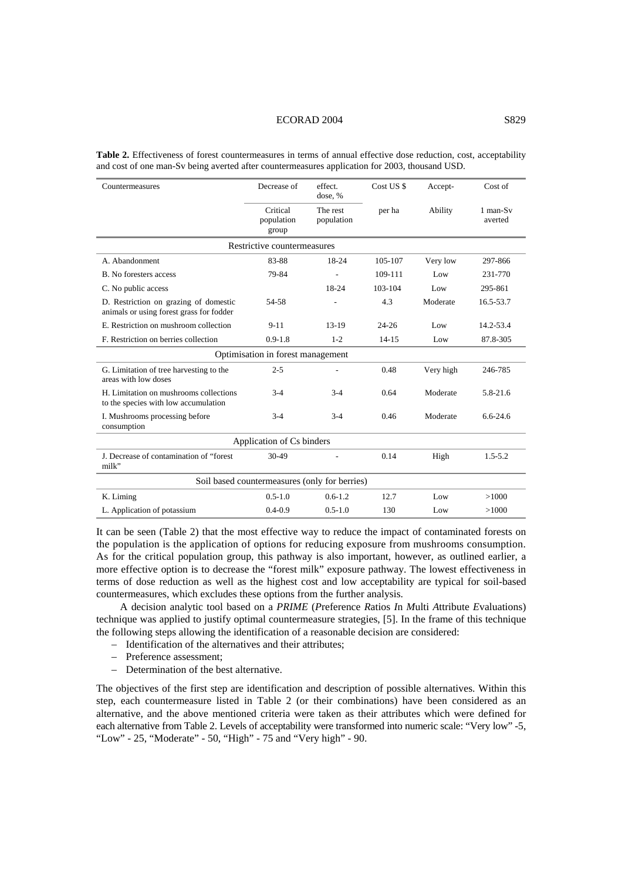### ECORAD 2004 S829

| Countermeasures                                                                   | Decrease of                     | effect.<br>dose, %     | Cost US \$ | Accept-   | Cost of             |  |  |  |
|-----------------------------------------------------------------------------------|---------------------------------|------------------------|------------|-----------|---------------------|--|--|--|
|                                                                                   | Critical<br>population<br>group | The rest<br>population | per ha     | Ability   | 1 man-Sv<br>averted |  |  |  |
| Restrictive countermeasures                                                       |                                 |                        |            |           |                     |  |  |  |
| A. Abandonment                                                                    | 83-88                           | 18-24                  | 105-107    | Very low  | 297-866             |  |  |  |
| B. No foresters access                                                            | 79-84                           |                        | 109-111    | Low       | 231-770             |  |  |  |
| C. No public access                                                               |                                 | 18-24                  | 103-104    | Low       | 295-861             |  |  |  |
| D. Restriction on grazing of domestic<br>animals or using forest grass for fodder | 54-58                           |                        | 4.3        | Moderate  | 16.5-53.7           |  |  |  |
| E. Restriction on mushroom collection                                             | $9 - 11$                        | $13-19$                | $24 - 26$  | Low       | 14.2-53.4           |  |  |  |
| F. Restriction on berries collection                                              | $0.9 - 1.8$                     | $1 - 2$                | $14 - 15$  | Low       | 87.8-305            |  |  |  |
| Optimisation in forest management                                                 |                                 |                        |            |           |                     |  |  |  |
| G. Limitation of tree harvesting to the<br>areas with low doses                   | $2 - 5$                         |                        | 0.48       | Very high | 246-785             |  |  |  |
| H. Limitation on mushrooms collections<br>to the species with low accumulation    | $3-4$                           | $3 - 4$                | 0.64       | Moderate  | $5.8 - 21.6$        |  |  |  |
| I. Mushrooms processing before<br>consumption                                     | $3-4$                           | $3 - 4$                | 0.46       | Moderate  | $6.6 - 24.6$        |  |  |  |
| Application of Cs binders                                                         |                                 |                        |            |           |                     |  |  |  |
| J. Decrease of contamination of "forest"<br>milk"                                 | 30-49                           |                        | 0.14       | High      | $1.5 - 5.2$         |  |  |  |
| Soil based countermeasures (only for berries)                                     |                                 |                        |            |           |                     |  |  |  |
| K. Liming                                                                         | $0.5 - 1.0$                     | $0.6 - 1.2$            | 12.7       | Low       | >1000               |  |  |  |
| L. Application of potassium                                                       | $0.4 - 0.9$                     | $0.5 - 1.0$            | 130        | Low       | >1000               |  |  |  |

**Table 2.** Effectiveness of forest countermeasures in terms of annual effective dose reduction, cost, acceptability and cost of one man-Sv being averted after countermeasures application for 2003, thousand USD.

It can be seen (Table 2) that the most effective way to reduce the impact of contaminated forests on the population is the application of options for reducing exposure from mushrooms consumption. As for the critical population group, this pathway is also important, however, as outlined earlier, a more effective option is to decrease the "forest milk" exposure pathway. The lowest effectiveness in terms of dose reduction as well as the highest cost and low acceptability are typical for soil-based countermeasures, which excludes these options from the further analysis.

A decision analytic tool based on a *PRIME* (*P*reference *R*atios *I*n *M*ulti *A*ttribute *E*valuations) technique was applied to justify optimal countermeasure strategies, [5]. In the frame of this technique the following steps allowing the identification of a reasonable decision are considered:

- − Identification of the alternatives and their attributes;
- − Preference assessment;
- − Determination of the best alternative.

The objectives of the first step are identification and description of possible alternatives. Within this step, each countermeasure listed in Table 2 (or their combinations) have been considered as an alternative, and the above mentioned criteria were taken as their attributes which were defined for each alternative from Table 2. Levels of acceptability were transformed into numeric scale: "Very low" -5, "Low" - 25, "Moderate" - 50, "High" - 75 and "Very high" - 90.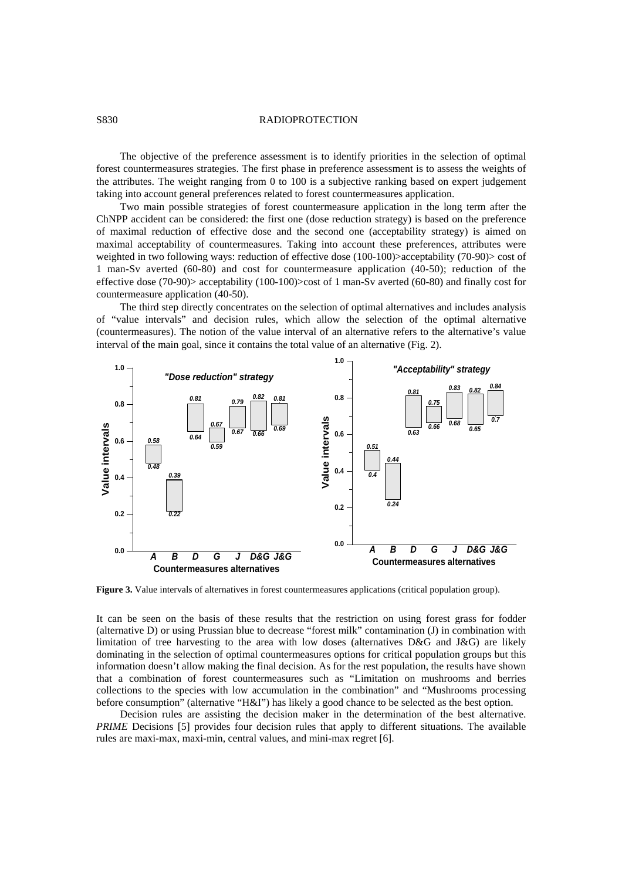## S830 RADIOPROTECTION

The objective of the preference assessment is to identify priorities in the selection of optimal forest countermeasures strategies. The first phase in preference assessment is to assess the weights of the attributes. The weight ranging from 0 to 100 is a subjective ranking based on expert judgement taking into account general preferences related to forest countermeasures application.

Two main possible strategies of forest countermeasure application in the long term after the ChNPP accident can be considered: the first one (dose reduction strategy) is based on the preference of maximal reduction of effective dose and the second one (acceptability strategy) is aimed on maximal acceptability of countermeasures. Taking into account these preferences, attributes were weighted in two following ways: reduction of effective dose (100-100)>acceptability (70-90)> cost of 1 man-Sv averted (60-80) and cost for countermeasure application (40-50); reduction of the effective dose (70-90)> acceptability (100-100)>cost of 1 man-Sv averted (60-80) and finally cost for countermeasure application (40-50).

The third step directly concentrates on the selection of optimal alternatives and includes analysis of "value intervals" and decision rules, which allow the selection of the optimal alternative (countermeasures). The notion of the value interval of an alternative refers to the alternative's value interval of the main goal, since it contains the total value of an alternative (Fig. 2).



**Figure 3.** Value intervals of alternatives in forest countermeasures applications (critical population group).

It can be seen on the basis of these results that the restriction on using forest grass for fodder (alternative D) or using Prussian blue to decrease "forest milk" contamination (J) in combination with limitation of tree harvesting to the area with low doses (alternatives D&G and J&G) are likely dominating in the selection of optimal countermeasures options for critical population groups but this information doesn't allow making the final decision. As for the rest population, the results have shown that a combination of forest countermeasures such as "Limitation on mushrooms and berries collections to the species with low accumulation in the combination" and "Mushrooms processing before consumption" (alternative "H&I") has likely a good chance to be selected as the best option.

Decision rules are assisting the decision maker in the determination of the best alternative. *PRIME* Decisions [5] provides four decision rules that apply to different situations. The available rules are maxi-max, maxi-min, central values, and mini-max regret [6].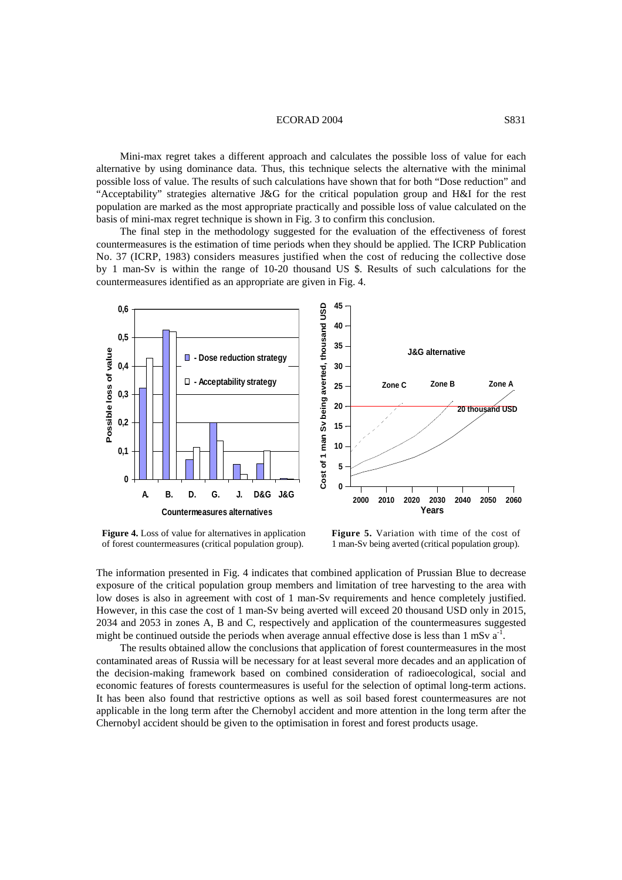### ECORAD 2004 S831

Mini-max regret takes a different approach and calculates the possible loss of value for each alternative by using dominance data. Thus, this technique selects the alternative with the minimal possible loss of value. The results of such calculations have shown that for both "Dose reduction" and "Acceptability" strategies alternative J&G for the critical population group and H&I for the rest population are marked as the most appropriate practically and possible loss of value calculated on the basis of mini-max regret technique is shown in Fig. 3 to confirm this conclusion.

The final step in the methodology suggested for the evaluation of the effectiveness of forest countermeasures is the estimation of time periods when they should be applied. The ICRP Publication No. 37 (ICRP, 1983) considers measures justified when the cost of reducing the collective dose by 1 man-Sv is within the range of 10-20 thousand US \$. Results of such calculations for the countermeasures identified as an appropriate are given in Fig. 4.



**Figure 4.** Loss of value for alternatives in application of forest countermeasures (critical population group).

**Figure 5.** Variation with time of the cost of 1 man-Sv being averted (critical population group).

The information presented in Fig. 4 indicates that combined application of Prussian Blue to decrease exposure of the critical population group members and limitation of tree harvesting to the area with low doses is also in agreement with cost of 1 man-Sv requirements and hence completely justified. However, in this case the cost of 1 man-Sv being averted will exceed 20 thousand USD only in 2015, 2034 and 2053 in zones A, B and C, respectively and application of the countermeasures suggested might be continued outside the periods when average annual effective dose is less than  $1 \text{ mSv a}^{-1}$ .

The results obtained allow the conclusions that application of forest countermeasures in the most contaminated areas of Russia will be necessary for at least several more decades and an application of the decision-making framework based on combined consideration of radioecological, social and economic features of forests countermeasures is useful for the selection of optimal long-term actions. It has been also found that restrictive options as well as soil based forest countermeasures are not applicable in the long term after the Chernobyl accident and more attention in the long term after the Chernobyl accident should be given to the optimisation in forest and forest products usage.